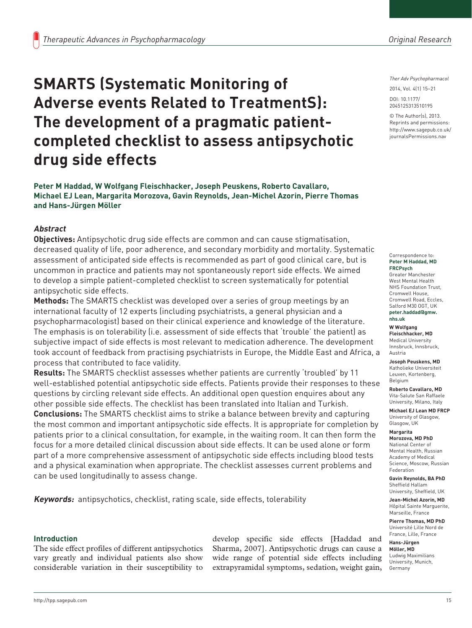# **SMARTS (Systematic Monitoring of Adverse events Related to TreatmentS): The development of a pragmatic patientcompleted checklist to assess antipsychotic drug side effects**

**Peter M Haddad, W Wolfgang Fleischhacker, Joseph Peuskens, Roberto Cavallaro, Michael EJ Lean, Margarita Morozova, Gavin Reynolds, Jean-Michel Azorin, Pierre Thomas and Hans-Jürgen Möller**

# **Abstract**

**Objectives:** Antipsychotic drug side effects are common and can cause stigmatisation, decreased quality of life, poor adherence, and secondary morbidity and mortality. Systematic assessment of anticipated side effects is recommended as part of good clinical care, but is uncommon in practice and patients may not spontaneously report side effects. We aimed to develop a simple patient-completed checklist to screen systematically for potential antipsychotic side effects.

**Methods:** The SMARTS checklist was developed over a series of group meetings by an international faculty of 12 experts (including psychiatrists, a general physician and a psychopharmacologist) based on their clinical experience and knowledge of the literature. The emphasis is on tolerability (i.e. assessment of side effects that 'trouble' the patient) as subjective impact of side effects is most relevant to medication adherence. The development took account of feedback from practising psychiatrists in Europe, the Middle East and Africa, a process that contributed to face validity.

**Results:** The SMARTS checklist assesses whether patients are currently 'troubled' by 11 well-established potential antipsychotic side effects. Patients provide their responses to these questions by circling relevant side effects. An additional open question enquires about any other possible side effects. The checklist has been translated into Italian and Turkish. **Conclusions:** The SMARTS checklist aims to strike a balance between brevity and capturing the most common and important antipsychotic side effects. It is appropriate for completion by patients prior to a clinical consultation, for example, in the waiting room. It can then form the focus for a more detailed clinical discussion about side effects. It can be used alone or form part of a more comprehensive assessment of antipsychotic side effects including blood tests and a physical examination when appropriate. The checklist assesses current problems and can be used longitudinally to assess change.

**Keywords:** antipsychotics, checklist, rating scale, side effects, tolerability

# **Introduction**

The side effect profiles of different antipsychotics vary greatly and individual patients also show considerable variation in their susceptibility to

develop specific side effects [Haddad and Sharma, 2007]. Antipsychotic drugs can cause a wide range of potential side effects including extrapyramidal symptoms, sedation, weight gain, *Ther Adv Psychopharmacol*

2014, Vol. 4(1) 15–21 DOI: 10.1177/ 2045125313510195

© The Author(s), 2013. Reprints and permissions: [http://www.sagepub.co.uk/](http://www.sagepub.co.uk/journalsPermissions.nav) journalsPermissions.nav

Correspondence to: **Peter M Haddad, MD FRCPsych**

Greater Manchester West Mental Health NHS Foundation Trust, Cromwell House, Cromwell Road, Eccles, Salford M30 OGT, UK **peter.haddad@gmw. nhs.uk**

#### **W Wolfgang Fleischhacker, MD**

Medical University Innsbruck, Innsbruck, Austria

**Joseph Peuskens, MD** Katholieke Universiteit Leuven, Kortenberg, Belgium

**Roberto Cavallaro, MD** Vita-Salute San Raffaele University, Milano, Italy

**Michael EJ Lean MD FRCP** University of Glasgow, Glasgow, UK

## **Margarita**

**Morozova, MD PhD** National Center of Mental Health, Russian Academy of Medical Science, Moscow, Russian Federation

**Gavin Reynolds, BA PhD**

Sheffield Hallam University, Sheffield, UK

**Jean-Michel Azorin, MD** Hôpital Sainte Marguerite, Marseille, France

**Pierre Thomas, MD PhD** Université Lille Nord de France, Lille, France

**Hans-Jürgen Möller, MD**

Ludwig Maximilians University, Munich, Germany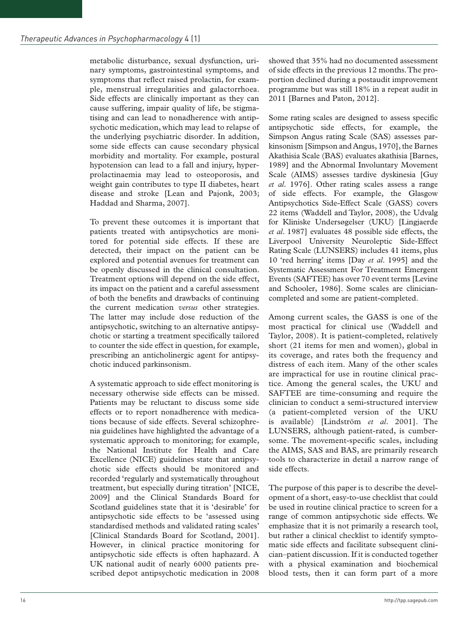metabolic disturbance, sexual dysfunction, urinary symptoms, gastrointestinal symptoms, and symptoms that reflect raised prolactin, for example, menstrual irregularities and galactorrhoea. Side effects are clinically important as they can cause suffering, impair quality of life, be stigmatising and can lead to nonadherence with antipsychotic medication, which may lead to relapse of the underlying psychiatric disorder. In addition, some side effects can cause secondary physical morbidity and mortality. For example, postural hypotension can lead to a fall and injury, hyperprolactinaemia may lead to osteoporosis, and weight gain contributes to type II diabetes, heart disease and stroke [Lean and Pajonk, 2003; Haddad and Sharma, 2007].

To prevent these outcomes it is important that patients treated with antipsychotics are monitored for potential side effects. If these are detected, their impact on the patient can be explored and potential avenues for treatment can be openly discussed in the clinical consultation. Treatment options will depend on the side effect, its impact on the patient and a careful assessment of both the benefits and drawbacks of continuing the current medication *versus* other strategies. The latter may include dose reduction of the antipsychotic, switching to an alternative antipsychotic or starting a treatment specifically tailored to counter the side effect in question, for example, prescribing an anticholinergic agent for antipsychotic induced parkinsonism.

A systematic approach to side effect monitoring is necessary otherwise side effects can be missed. Patients may be reluctant to discuss some side effects or to report nonadherence with medications because of side effects. Several schizophrenia guidelines have highlighted the advantage of a systematic approach to monitoring; for example, the National Institute for Health and Care Excellence (NICE) guidelines state that antipsychotic side effects should be monitored and recorded 'regularly and systematically throughout treatment, but especially during titration' [NICE, 2009] and the Clinical Standards Board for Scotland guidelines state that it is 'desirable' for antipsychotic side effects to be 'assessed using standardised methods and validated rating scales' [Clinical Standards Board for Scotland, 2001]. However, in clinical practice monitoring for antipsychotic side effects is often haphazard. A UK national audit of nearly 6000 patients prescribed depot antipsychotic medication in 2008 showed that 35% had no documented assessment of side effects in the previous 12 months. The proportion declined during a postaudit improvement programme but was still 18% in a repeat audit in 2011 [Barnes and Paton, 2012].

Some rating scales are designed to assess specific antipsychotic side effects, for example, the Simpson Angus rating Scale (SAS) assesses parkinsonism [Simpson and Angus, 1970], the Barnes Akathisia Scale (BAS) evaluates akathisia [Barnes, 1989] and the Abnormal Involuntary Movement Scale (AIMS) assesses tardive dyskinesia [Guy *et al*. 1976]. Other rating scales assess a range of side effects. For example, the Glasgow Antipsychotics Side-Effect Scale (GASS) covers 22 items (Waddell and Taylor, 2008), the Udvalg for Kliniske Undersøgelser (UKU) [Lingjaerde *et al*. 1987] evaluates 48 possible side effects, the Liverpool University Neuroleptic Side-Effect Rating Scale (LUNSERS) includes 41 items, plus 10 'red herring' items [Day *et al*. 1995] and the Systematic Assessment For Treatment Emergent Events (SAFTEE) has over 70 event terms [Levine and Schooler, 1986]. Some scales are cliniciancompleted and some are patient-completed.

Among current scales, the GASS is one of the most practical for clinical use (Waddell and Taylor, 2008). It is patient-completed, relatively short (21 items for men and women), global in its coverage, and rates both the frequency and distress of each item. Many of the other scales are impractical for use in routine clinical practice. Among the general scales, the UKU and SAFTEE are time-consuming and require the clinician to conduct a semi-structured interview (a patient-completed version of the UKU is available) [Lindström *et al*. 2001]. The LUNSERS, although patient-rated, is cumbersome. The movement-specific scales, including the AIMS, SAS and BAS, are primarily research tools to characterize in detail a narrow range of side effects.

The purpose of this paper is to describe the development of a short, easy-to-use checklist that could be used in routine clinical practice to screen for a range of common antipsychotic side effects. We emphasize that it is not primarily a research tool, but rather a clinical checklist to identify symptomatic side effects and facilitate subsequent clinician–patient discussion. If it is conducted together with a physical examination and biochemical blood tests, then it can form part of a more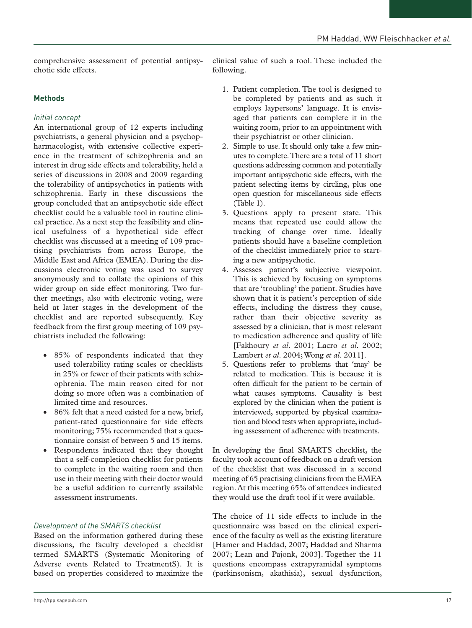comprehensive assessment of potential antipsychotic side effects.

clinical value of such a tool. These included the following.

# **Methods**

## *Initial concept*

An international group of 12 experts including psychiatrists, a general physician and a psychopharmacologist, with extensive collective experience in the treatment of schizophrenia and an interest in drug side effects and tolerability, held a series of discussions in 2008 and 2009 regarding the tolerability of antipsychotics in patients with schizophrenia. Early in these discussions the group concluded that an antipsychotic side effect checklist could be a valuable tool in routine clinical practice. As a next step the feasibility and clinical usefulness of a hypothetical side effect checklist was discussed at a meeting of 109 practising psychiatrists from across Europe, the Middle East and Africa (EMEA). During the discussions electronic voting was used to survey anonymously and to collate the opinions of this wider group on side effect monitoring. Two further meetings, also with electronic voting, were held at later stages in the development of the checklist and are reported subsequently. Key feedback from the first group meeting of 109 psychiatrists included the following:

- 85% of respondents indicated that they used tolerability rating scales or checklists in 25% or fewer of their patients with schizophrenia. The main reason cited for not doing so more often was a combination of limited time and resources.
- 86% felt that a need existed for a new, brief, patient-rated questionnaire for side effects monitoring; 75% recommended that a questionnaire consist of between 5 and 15 items.
- Respondents indicated that they thought that a self-completion checklist for patients to complete in the waiting room and then use in their meeting with their doctor would be a useful addition to currently available assessment instruments.

## *Development of the SMARTS checklist*

Based on the information gathered during these discussions, the faculty developed a checklist termed SMARTS (Systematic Monitoring of Adverse events Related to TreatmentS). It is based on properties considered to maximize the

- 1. Patient completion. The tool is designed to be completed by patients and as such it employs laypersons' language. It is envisaged that patients can complete it in the waiting room, prior to an appointment with their psychiatrist or other clinician.
- 2. Simple to use. It should only take a few minutes to complete. There are a total of 11 short questions addressing common and potentially important antipsychotic side effects, with the patient selecting items by circling, plus one open question for miscellaneous side effects (Table 1).
- 3. Questions apply to present state. This means that repeated use could allow the tracking of change over time. Ideally patients should have a baseline completion of the checklist immediately prior to starting a new antipsychotic.
- 4. Assesses patient's subjective viewpoint. This is achieved by focusing on symptoms that are 'troubling' the patient. Studies have shown that it is patient's perception of side effects, including the distress they cause, rather than their objective severity as assessed by a clinician, that is most relevant to medication adherence and quality of life [Fakhoury *et al*. 2001; Lacro *et al*. 2002; Lambert *et al*. 2004; Wong *et al*. 2011].
- 5. Questions refer to problems that 'may' be related to medication. This is because it is often difficult for the patient to be certain of what causes symptoms. Causality is best explored by the clinician when the patient is interviewed, supported by physical examination and blood tests when appropriate, including assessment of adherence with treatments.

In developing the final SMARTS checklist, the faculty took account of feedback on a draft version of the checklist that was discussed in a second meeting of 65 practising clinicians from the EMEA region. At this meeting 65% of attendees indicated they would use the draft tool if it were available.

The choice of 11 side effects to include in the questionnaire was based on the clinical experience of the faculty as well as the existing literature [Hamer and Haddad, 2007; Haddad and Sharma 2007; Lean and Pajonk, 2003]. Together the 11 questions encompass extrapyramidal symptoms (parkinsonism, akathisia), sexual dysfunction,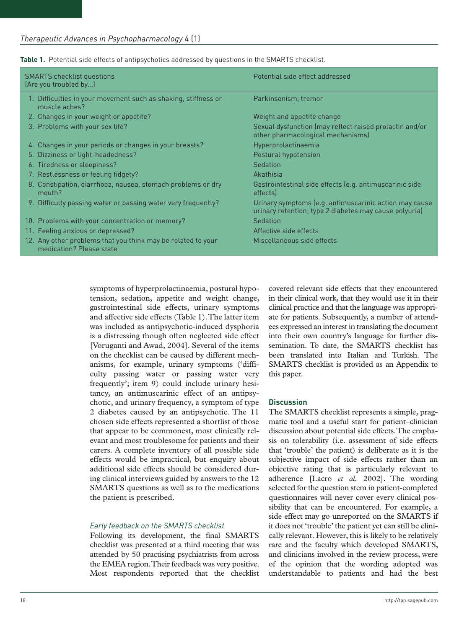|  |  |  |  |  |  | Table 1. Potential side effects of antipsychotics addressed by questions in the SMARTS checklist. |
|--|--|--|--|--|--|---------------------------------------------------------------------------------------------------|
|--|--|--|--|--|--|---------------------------------------------------------------------------------------------------|

| <b>SMARTS</b> checklist questions<br>(Are you troubled by)                               | Potential side effect addressed                                                                                  |  |  |
|------------------------------------------------------------------------------------------|------------------------------------------------------------------------------------------------------------------|--|--|
| 1. Difficulties in your movement such as shaking, stiffness or<br>muscle aches?          | Parkinsonism, tremor                                                                                             |  |  |
| 2. Changes in your weight or appetite?                                                   | Weight and appetite change                                                                                       |  |  |
| 3. Problems with your sex life?                                                          | Sexual dysfunction (may reflect raised prolactin and/or<br>other pharmacological mechanisms)                     |  |  |
| 4. Changes in your periods or changes in your breasts?                                   | Hyperprolactinaemia                                                                                              |  |  |
| 5. Dizziness or light-headedness?                                                        | Postural hypotension                                                                                             |  |  |
| 6. Tiredness or sleepiness?                                                              | Sedation                                                                                                         |  |  |
| 7. Restlessness or feeling fidgety?                                                      | Akathisia                                                                                                        |  |  |
| 8. Constipation, diarrhoea, nausea, stomach problems or dry<br>mouth?                    | Gastrointestinal side effects (e.g. antimuscarinic side<br>effects                                               |  |  |
| 9. Difficulty passing water or passing water very frequently?                            | Urinary symptoms (e.g. antimuscarinic action may cause<br>urinary retention; type 2 diabetes may cause polyuria) |  |  |
| 10. Problems with your concentration or memory?                                          | Sedation                                                                                                         |  |  |
| 11. Feeling anxious or depressed?                                                        | Affective side effects                                                                                           |  |  |
| 12. Any other problems that you think may be related to your<br>medication? Please state | Miscellaneous side effects                                                                                       |  |  |

symptoms of hyperprolactinaemia, postural hypotension, sedation, appetite and weight change, gastrointestinal side effects, urinary symptoms and affective side effects (Table 1). The latter item was included as antipsychotic-induced dysphoria is a distressing though often neglected side effect [Voruganti and Awad, 2004]. Several of the items on the checklist can be caused by different mechanisms, for example, urinary symptoms ('difficulty passing water or passing water very frequently'; item 9) could include urinary hesitancy, an antimuscarinic effect of an antipsychotic, and urinary frequency, a symptom of type 2 diabetes caused by an antipsychotic. The 11 chosen side effects represented a shortlist of those that appear to be commonest, most clinically relevant and most troublesome for patients and their carers. A complete inventory of all possible side effects would be impractical, but enquiry about additional side effects should be considered during clinical interviews guided by answers to the 12 SMARTS questions as well as to the medications the patient is prescribed.

## *Early feedback on the SMARTS checklist*

Following its development, the final SMARTS checklist was presented at a third meeting that was attended by 50 practising psychiatrists from across the EMEA region. Their feedback was very positive. Most respondents reported that the checklist covered relevant side effects that they encountered in their clinical work, that they would use it in their clinical practice and that the language was appropriate for patients. Subsequently, a number of attendees expressed an interest in translating the document into their own country's language for further dissemination. To date, the SMARTS checklist has been translated into Italian and Turkish. The SMARTS checklist is provided as an Appendix to this paper.

#### **Discussion**

The SMARTS checklist represents a simple, pragmatic tool and a useful start for patient–clinician discussion about potential side effects. The emphasis on tolerability (i.e. assessment of side effects that 'trouble' the patient) is deliberate as it is the subjective impact of side effects rather than an objective rating that is particularly relevant to adherence [Lacro *et al.* 2002]. The wording selected for the question stem in patient-completed questionnaires will never cover every clinical possibility that can be encountered. For example, a side effect may go unreported on the SMARTS if it does not 'trouble' the patient yet can still be clinically relevant. However, this is likely to be relatively rare and the faculty which developed SMARTS, and clinicians involved in the review process, were of the opinion that the wording adopted was understandable to patients and had the best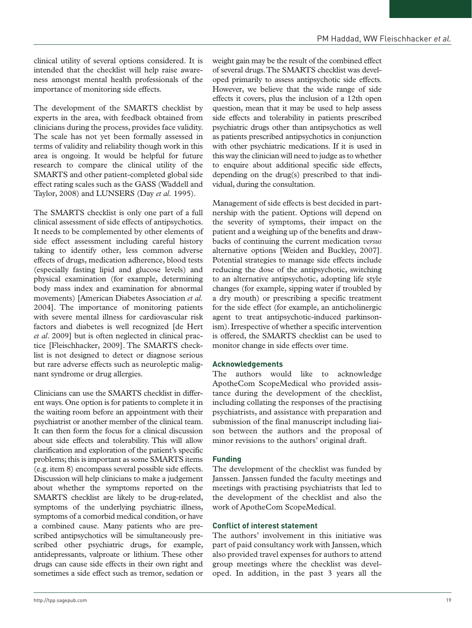clinical utility of several options considered. It is intended that the checklist will help raise awareness amongst mental health professionals of the importance of monitoring side effects.

The development of the SMARTS checklist by experts in the area, with feedback obtained from clinicians during the process, provides face validity. The scale has not yet been formally assessed in terms of validity and reliability though work in this area is ongoing. It would be helpful for future research to compare the clinical utility of the SMARTS and other patient-completed global side effect rating scales such as the GASS (Waddell and Taylor, 2008) and LUNSERS (Day *et al.* 1995).

The SMARTS checklist is only one part of a full clinical assessment of side effects of antipsychotics. It needs to be complemented by other elements of side effect assessment including careful history taking to identify other, less common adverse effects of drugs, medication adherence, blood tests (especially fasting lipid and glucose levels) and physical examination (for example, determining body mass index and examination for abnormal movements) [American Diabetes Association *et al.* 2004]. The importance of monitoring patients with severe mental illness for cardiovascular risk factors and diabetes is well recognized [de Hert *et al*. 2009] but is often neglected in clinical practice [Fleischhacker, 2009]. The SMARTS checklist is not designed to detect or diagnose serious but rare adverse effects such as neuroleptic malignant syndrome or drug allergies.

Clinicians can use the SMARTS checklist in different ways. One option is for patients to complete it in the waiting room before an appointment with their psychiatrist or another member of the clinical team. It can then form the focus for a clinical discussion about side effects and tolerability. This will allow clarification and exploration of the patient's specific problems; this is important as some SMARTS items (e.g. item 8) encompass several possible side effects. Discussion will help clinicians to make a judgement about whether the symptoms reported on the SMARTS checklist are likely to be drug-related, symptoms of the underlying psychiatric illness, symptoms of a comorbid medical condition, or have a combined cause. Many patients who are prescribed antipsychotics will be simultaneously prescribed other psychiatric drugs, for example, antidepressants, valproate or lithium. These other drugs can cause side effects in their own right and sometimes a side effect such as tremor, sedation or weight gain may be the result of the combined effect of several drugs. The SMARTS checklist was developed primarily to assess antipsychotic side effects. However, we believe that the wide range of side effects it covers, plus the inclusion of a 12th open question, mean that it may be used to help assess side effects and tolerability in patients prescribed psychiatric drugs other than antipsychotics as well as patients prescribed antipsychotics in conjunction with other psychiatric medications. If it is used in this way the clinician will need to judge as to whether to enquire about additional specific side effects, depending on the drug(s) prescribed to that individual, during the consultation.

Management of side effects is best decided in partnership with the patient. Options will depend on the severity of symptoms, their impact on the patient and a weighing up of the benefits and drawbacks of continuing the current medication *versus* alternative options [Weiden and Buckley, 2007]. Potential strategies to manage side effects include reducing the dose of the antipsychotic, switching to an alternative antipsychotic, adopting life style changes (for example, sipping water if troubled by a dry mouth) or prescribing a specific treatment for the side effect (for example, an anticholinergic agent to treat antipsychotic-induced parkinsonism). Irrespective of whether a specific intervention is offered, the SMARTS checklist can be used to monitor change in side effects over time.

# **Acknowledgements**

The authors would like to acknowledge ApotheCom ScopeMedical who provided assistance during the development of the checklist, including collating the responses of the practising psychiatrists, and assistance with preparation and submission of the final manuscript including liaison between the authors and the proposal of minor revisions to the authors' original draft.

# **Funding**

The development of the checklist was funded by Janssen. Janssen funded the faculty meetings and meetings with practising psychiatrists that led to the development of the checklist and also the work of ApotheCom ScopeMedical.

## **Conflict of interest statement**

The authors' involvement in this initiative was part of paid consultancy work with Janssen, which also provided travel expenses for authors to attend group meetings where the checklist was developed. In addition, in the past 3 years all the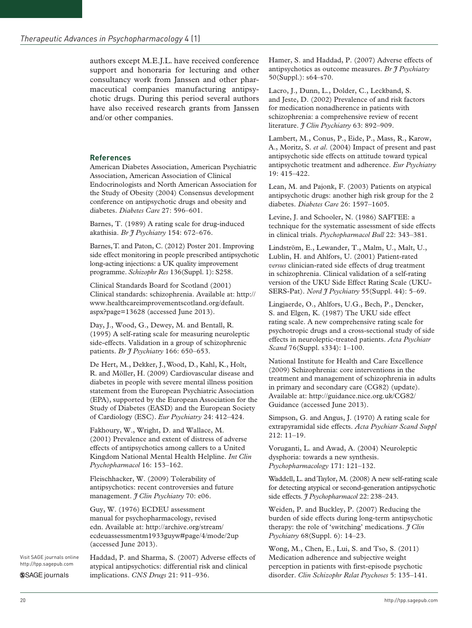authors except M.E.J.L. have received conference support and honoraria for lecturing and other consultancy work from Janssen and other pharmaceutical companies manufacturing antipsychotic drugs. During this period several authors have also received research grants from Janssen and/or other companies.

# **References**

American Diabetes Association, American Psychiatric Association, American Association of Clinical Endocrinologists and North American Association for the Study of Obesity (2004) Consensus development conference on antipsychotic drugs and obesity and diabetes. *Diabetes Care* 27: 596–601.

Barnes, T. (1989) A rating scale for drug-induced akathisia. *Br J Psychiatry* 154: 672–676.

Barnes, T. and Paton, C. (2012) Poster 201. Improving side effect monitoring in people prescribed antipsychotic long-acting injections: a UK quality improvement programme. *Schizophr Res* 136(Suppl. 1): S258.

Clinical Standards Board for Scotland (2001) [Clinical standards: schizophrenia. Available at: http://](http://www.healthcareimprovementscotland.org/default.aspx?page=13628) www.healthcareimprovementscotland.org/default. aspx?page=13628 (accessed June 2013).

Day, J., Wood, G., Dewey, M. and Bentall, R. (1995) A self-rating scale for measuring neuroleptic side-effects. Validation in a group of schizophrenic patients. *Br J Psychiatry* 166: 650–653.

De Hert, M., Dekker, J., Wood, D., Kahl, K., Holt, R. and Möller, H. (2009) Cardiovascular disease and diabetes in people with severe mental illness position statement from the European Psychiatric Association (EPA), supported by the European Association for the Study of Diabetes (EASD) and the European Society of Cardiology (ESC). *Eur Psychiatry* 24: 412–424.

Fakhoury, W., Wright, D. and Wallace, M. (2001) Prevalence and extent of distress of adverse effects of antipsychotics among callers to a United Kingdom National Mental Health Helpline. *Int Clin Psychopharmacol* 16: 153–162.

Fleischhacker, W. (2009) Tolerability of antipsychotics: recent controversies and future management. *J Clin Psychiatry* 70: e06.

Guy, W. (1976) ECDEU assessment manual for psychopharmacology, revised edn. Available at: http://archive.org/stream/ [ecdeuassessmentm1933guyw#page/4/mode/2up](http://archive.org/stream/ecdeuassessmentm1933guyw#page/4/mode/2up) (accessed June 2013).

implications. *CNS Drugs* 21: 911–936.

Haddad, P. and Sharma, S. (2007) Adverse effects of atypical antipsychotics: differential risk and clinical Visit SAGE journals online http://tpp.sagepub.com

SAGE journals

Hamer, S. and Haddad, P. (2007) Adverse effects of antipsychotics as outcome measures. *Br J Psychiatry* 50(Suppl.): s64–s70.

Lacro, J., Dunn, L., Dolder, C., Leckband, S. and Jeste, D. (2002) Prevalence of and risk factors for medication nonadherence in patients with schizophrenia: a comprehensive review of recent literature. *J Clin Psychiatry* 63: 892–909.

Lambert, M., Conus, P., Eide, P., Mass, R., Karow, A., Moritz, S. *et al*. (2004) Impact of present and past antipsychotic side effects on attitude toward typical antipsychotic treatment and adherence. *Eur Psychiatry* 19: 415–422.

Lean, M. and Pajonk, F. (2003) Patients on atypical antipsychotic drugs: another high risk group for the 2 diabetes. *Diabetes Care* 26: 1597–1605.

Levine, J. and Schooler, N. (1986) SAFTEE: a technique for the systematic assessment of side effects in clinical trials. *Psychopharmacol Bull* 22: 343–381.

Lindström, E., Lewander, T., Malm, U., Malt, U., Lublin, H. and Ahlfors, U. (2001) Patient-rated *versus* clinician-rated side effects of drug treatment in schizophrenia. Clinical validation of a self-rating version of the UKU Side Effect Rating Scale (UKU-SERS-Pat). *Nord I Psychiatry* 55(Suppl. 44): 5-69.

Lingjaerde, O., Ahlfors, U.G., Bech, P., Dencker, S. and Elgen, K. (1987) The UKU side effect rating scale. A new comprehensive rating scale for psychotropic drugs and a cross-sectional study of side effects in neuroleptic-treated patients. *Acta Psychiatr Scand* 76(Suppl. s334): 1–100.

National Institute for Health and Care Excellence (2009) Schizophrenia: core interventions in the treatment and management of schizophrenia in adults in primary and secondary care (CG82) (update). [Available at: http://guidance.nice.org.uk/CG82/](http://guidance.nice.org.uk/CG82/Guidance) Guidance (accessed June 2013).

Simpson, G. and Angus, J. (1970) A rating scale for extrapyramidal side effects. *Acta Psychiatr Scand Suppl* 212: 11–19.

Voruganti, L. and Awad, A. (2004) Neuroleptic dysphoria: towards a new synthesis. *Psychopharmacology* 171: 121–132.

Waddell, L. and Taylor, M. (2008) A new self-rating scale for detecting atypical or second-generation antipsychotic side effects. *J Psychopharmacol* 22: 238-243.

Weiden, P. and Buckley, P. (2007) Reducing the burden of side effects during long-term antipsychotic therapy: the role of 'switching' medications. *J Clin Psychiatry* 68(Suppl. 6): 14–23.

Wong, M., Chen, E., Lui, S. and Tso, S. (2011) Medication adherence and subjective weight perception in patients with first-episode psychotic disorder. *Clin Schizophr Relat Psychoses* 5: 135–141.